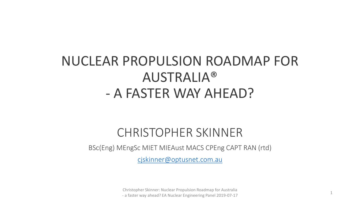### NUCLEAR PROPULSION ROADMAP FOR AUSTRALIA® - A FASTER WAY AHEAD?

### CHRISTOPHER SKINNER

BSc(Eng) MEngSc MIET MIEAust MACS CPEng CAPT RAN (rtd)

[cjskinner@optusnet.com.au](mailto:cjskinner@optusnet.com.au)

Christopher Skinner: Nuclear Propulsion Roadmap for Australia - a faster way ahead? EA Nuclear Engineering Panel 2019-07-17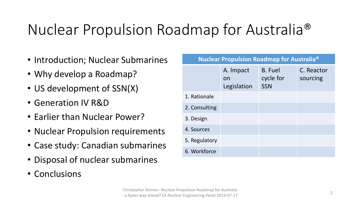# Nuclear Propulsion Roadmap for Australia®

- Introduction; Nuclear Submarines
- Why develop a Roadmap?
- US development of SSN(X)
- Generation IV R&D
- Earlier than Nuclear Power?
- Nuclear Propulsion requirements
- Case study: Canadian submarines
- Disposal of nuclear submarines
- Conclusions

| <b>Nuclear Propulsion Roadmap for Australia<sup>®</sup></b> |                                |                                           |                        |
|-------------------------------------------------------------|--------------------------------|-------------------------------------------|------------------------|
|                                                             | A. Impact<br>on<br>Legislation | <b>B.</b> Fuel<br>cycle for<br><b>SSN</b> | C. Reactor<br>sourcing |
| 1. Rationale                                                |                                |                                           |                        |
| 2. Consulting                                               |                                |                                           |                        |
| 3. Design                                                   |                                |                                           |                        |
| 4. Sources                                                  |                                |                                           |                        |
| 5. Regulatory                                               |                                |                                           |                        |
| 6. Workforce                                                |                                |                                           |                        |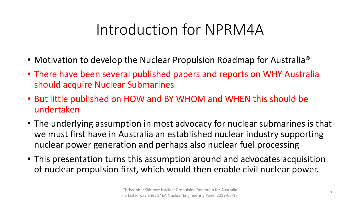### Introduction for NPRM4A

- Motivation to develop the Nuclear Propulsion Roadmap for Australia<sup>®</sup>
- There have been several published papers and reports on WHY Australia should acquire Nuclear Submarines
- But little published on HOW and BY WHOM and WHEN this should be undertaken
- The underlying assumption in most advocacy for nuclear submarines is that we must first have in Australia an established nuclear industry supporting nuclear power generation and perhaps also nuclear fuel processing
- This presentation turns this assumption around and advocates acquisition of nuclear propulsion first, which would then enable civil nuclear power.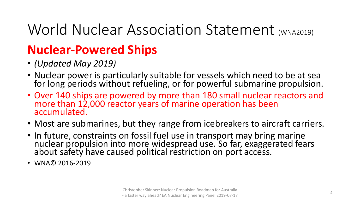### World Nuclear Association Statement (WNA2019)

### **Nuclear-Powered Ships**

- *(Updated May 2019)*
- Nuclear power is particularly suitable for vessels which need to be at sea for long periods without refueling, or for powerful submarine propulsion.
- Over 140 ships are powered by more than 180 small nuclear reactors and more than 12,000 reactor years of marine operation has been accumulated.
- Most are submarines, but they range from icebreakers to aircraft carriers.
- In future, constraints on fossil fuel use in transport may bring marine nuclear propulsion into more widespread use. So far, exaggerated fears about safety have caused political restriction on port access.
- WNA© 2016-2019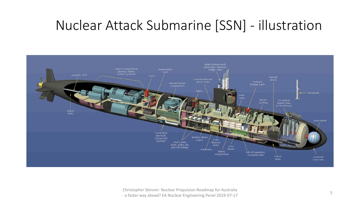### Nuclear Attack Submarine [SSN] - illustration



Christopher Skinner: Nuclear Propulsion Roadmap for Australia - a faster way ahead? EA Nuclear Engineering Panel 2019-07-17 <sup>5</sup>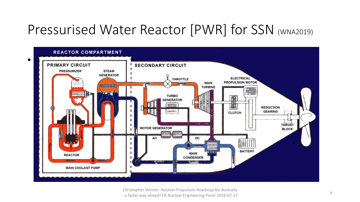### Pressurised Water Reactor [PWR] for SSN (WNA2019)



Christopher Skinner: Nuclear Propulsion Roadmap for Australia - a faster way ahead? EA Nuclear Engineering Panel 2019-07-17 <sup>6</sup>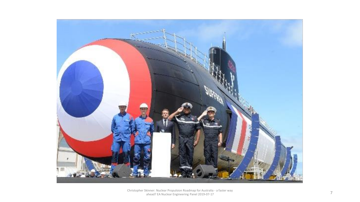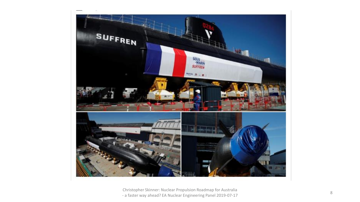

Christopher Skinner: Nuclear Propulsion Roadmap for Australia - a faster way ahead? EA Nuclear Engineering Panel 2019-07-17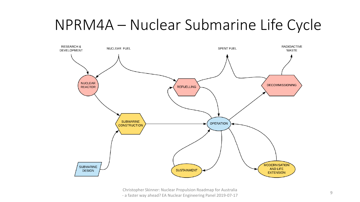### NPRM4A – Nuclear Submarine Life Cycle



Christopher Skinner: Nuclear Propulsion Roadmap for Australia emistopher skiller: Naclear Tropalsion Rodding For Adstralia<br>- a faster way ahead? EA Nuclear Engineering Panel 2019-07-17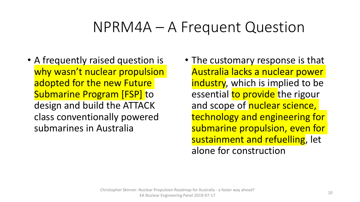### NPRM4A – A Frequent Question

- A frequently raised question is why wasn't nuclear propulsion adopted for the new Future Submarine Program [FSP] to design and build the ATTACK class conventionally powered submarines in Australia
- The customary response is that Australia lacks a nuclear power industry, which is implied to be essential to provide the rigour and scope of nuclear science, technology and engineering for submarine propulsion, even for sustainment and refuelling, let alone for construction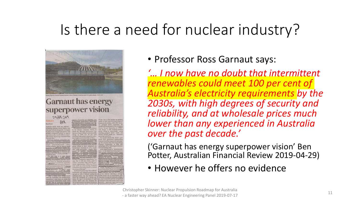### Is there a need for nuclear industry?



#### **Garnaut has energy** superpower vision

 $0.00000$ 

| <i><b>chasive</b></i>                                                                                                                                                                                                                                                                                                                                                                                                                                                                                                                                                                                                                                                                                                                                                                                                                                                                                                                                                                                                                                                                                                                                                                                                                                                                                                                                                           | degrees of security and reliability, and<br>at wholesale prices much lower than<br>any experienced in Australia over the                                                                                                                                                                                                                                                                                                                                                                                                                                                                                                                                                                                                                                                                                                                                                                                                                                                                                                                                                                                                                                                                                                                                                                                                                                                                                                                                                                                                             | 60 per cent of the market for pes<br>power in NSW and Victoria if it but<br>proposed \$5.1 hillion, 2000 MW St                                                                                                                                                                                                                                                                                                                                                                                                                                                                                                                                                                                                                                                                                                                                                                                                                                                                                                                                                                                                                                                                                                                                                                                                                                     |
|---------------------------------------------------------------------------------------------------------------------------------------------------------------------------------------------------------------------------------------------------------------------------------------------------------------------------------------------------------------------------------------------------------------------------------------------------------------------------------------------------------------------------------------------------------------------------------------------------------------------------------------------------------------------------------------------------------------------------------------------------------------------------------------------------------------------------------------------------------------------------------------------------------------------------------------------------------------------------------------------------------------------------------------------------------------------------------------------------------------------------------------------------------------------------------------------------------------------------------------------------------------------------------------------------------------------------------------------------------------------------------|--------------------------------------------------------------------------------------------------------------------------------------------------------------------------------------------------------------------------------------------------------------------------------------------------------------------------------------------------------------------------------------------------------------------------------------------------------------------------------------------------------------------------------------------------------------------------------------------------------------------------------------------------------------------------------------------------------------------------------------------------------------------------------------------------------------------------------------------------------------------------------------------------------------------------------------------------------------------------------------------------------------------------------------------------------------------------------------------------------------------------------------------------------------------------------------------------------------------------------------------------------------------------------------------------------------------------------------------------------------------------------------------------------------------------------------------------------------------------------------------------------------------------------------|----------------------------------------------------------------------------------------------------------------------------------------------------------------------------------------------------------------------------------------------------------------------------------------------------------------------------------------------------------------------------------------------------------------------------------------------------------------------------------------------------------------------------------------------------------------------------------------------------------------------------------------------------------------------------------------------------------------------------------------------------------------------------------------------------------------------------------------------------------------------------------------------------------------------------------------------------------------------------------------------------------------------------------------------------------------------------------------------------------------------------------------------------------------------------------------------------------------------------------------------------------------------------------------------------------------------------------------------------|
| n Potter<br>stralia needs three key reforms<br>luding splitting Snowy Hydro into<br>a state-owned companies - to regain<br>place as an energy superpower with<br>hally competitive power in regions<br>d cities as the world shifts to renew-<br>e energy, top energy economist Ross<br>maut says.<br>Professor Garmant, economics pro-<br>sor at the University of Melbourne<br>I architect of the last Labor govern-<br>mi's never-implemented carbon<br>ding scheme, says he has no doubt<br>stralla can have secure reisible elec-<br>tity at much lower prices that would<br>derum expansion of nunerals pro-<br>sang and other heavy industry if it<br>opts his plan.<br>The first step in to split federal<br>vernment-owned Souwy Hydro's<br>sting and proposed pumped hydro-<br>sets from its baseload generation.<br>e second is to tweak the Australian<br>moetition and Consumer Commis-<br>n's recommendation for the federal<br>vernment to underwrite some firm<br>rtyy generation. The third is more<br>namission to allow renewable<br>ergy to move more easily from gen-<br>ation sites to derivand centres.<br>After a dozen vears siving closely<br>th the Australian and global energy<br>usitions. I now have no doubt that<br>ermittent resewables could move<br>l per control Australia substancia<br>quia mental av 15e 2000 - value de <mark>n</mark> | past decade," Professor Garnaut says in<br>the third of a series of lectures.<br>His optimism stands in stank contrast<br>to the election campaign debate in<br>which the Morrison government has<br>slammed Labor's 50 per cent renewable<br>energy by 2030 and 45 per cent<br>economy-wide carbon emissions reduc-<br>tion targets as economically recidess.<br>Professor Garnaut says Australia's<br>unique clean energy resources - in<br>soker, wind and pumped hydro storage<br>- mean it can confir bute its lair share to<br>clobal efforts to limit industrial era<br>temperature increases to 15°C. It can<br>also - with good policy - supply "firm<br>power in ciobally transformative<br>quantities  to industrial locations in<br>each state at globally competitive<br>prices" of around \$45 to \$50 per mega-<br>wait hour. "No other developed coun-<br>try has a comparable opportunity," he<br>says. But it will take many years to<br>restore Australia's edge and the eco-<br>nomic opportunities will be lost "if we<br>walt until our slow-moving basiness<br>instrutions and policy move to correct<br>the errors of the past".<br>Professor Garnaut says "fleet of foot"<br>businesses and regional governments<br>can get on with it without waiting for<br>national policy, but his reforms will<br>boost the prospects of a strong out-<br>come. He says it is necessary to split<br>Snowy Hydro into two because the<br>ACCC had found in its Retail Electricity<br>report that Snowy Hydro would have | 2.0 pumped hydro expansion.<br>would call the pumped hydro com-<br>Snowy Energy Guarantee or "S?<br>and charge it with keeping per<br>power cheap by intervening - u<br>existing pumped hydro assets<br>Soowy 2.0 if it stacks up - when<br>prices pet out of line.<br>He would extend the ACCC's<br>posed firm generation underwa<br>scheme from five years to 10 and so<br>ate the process from the Clean Er<br>Finance Corporation to fully<br>advantage of the federal governm<br>low borrowing costs.<br>With these tweaks to "Recomme<br>tion 4" of the Bettel Electricity repo<br>says globally competitive power su<br>is feesible now in major industrial<br>mulside capital cities - "including C<br>Bambury In WA, the Upper Spe<br>Guilf in SA, the Latrobe Valley and<br>land in Victoria, Newcastle and<br>Kerabla in NSW, and Gladstone<br>adiscent inland regions and per<br>other industrial ports in Operaslan<br>Finally, the grid won't accommy<br>more than about 50 per cent reney<br>energy without more transmission<br>hose Gamaut says this can be a<br>ated by reforms allowing a stro<br>public sector role in transmission<br>ning, less of a role for network con-<br>ies, and "reward for private unrego<br>investment that adds public value?<br>network", rigorously supervised b<br>Australian Energy Regulator. |

• Professor Ross Garnaut says:

*'… I now have no doubt that intermittent renewables could meet 100 per cent of Australia's electricity requirements by the 2030s, with high degrees of security and reliability, and at wholesale prices much lower than any experienced in Australia over the past decade.'*

('Garnaut has energy superpower vision' Ben Potter, Australian Financial Review 2019-04-29)

• However he offers no evidence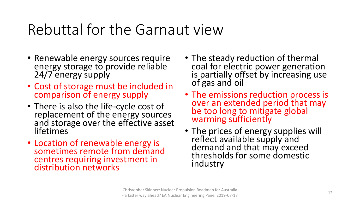### Rebuttal for the Garnaut view

- Renewable energy sources require energy storage to provide reliable 24/7 energy supply
- Cost of storage must be included in comparison of energy supply
- There is also the life-cycle cost of replacement of the energy sources and storage over the effective asset lifetimes
- Location of renewable energy is sometimes remote from demand centres requiring investment in distribution networks
- The steady reduction of thermal coal for electric power generation is partially offset by increasing use of gas and oil
- The emissions reduction process is over an extended period that may be too long to mitigate global warming sufficiently
- The prices of energy supplies will reflect available supply and demand and that may exceed thresholds for some domestic industry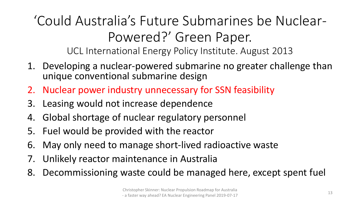'Could Australia's Future Submarines be Nuclear-Powered?' Green Paper. UCL International Energy Policy Institute. August 2013

- 1. Developing a nuclear-powered submarine no greater challenge than unique conventional submarine design
- 2. Nuclear power industry unnecessary for SSN feasibility
- 3. Leasing would not increase dependence
- 4. Global shortage of nuclear regulatory personnel
- 5. Fuel would be provided with the reactor
- 6. May only need to manage short-lived radioactive waste
- 7. Unlikely reactor maintenance in Australia
- 8. Decommissioning waste could be managed here, except spent fuel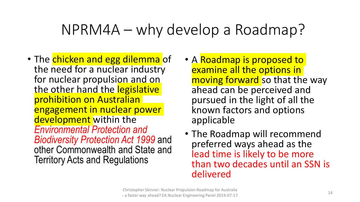### NPRM4A – why develop a Roadmap?

- The chicken and egg dilemma of the need for a nuclear industry for nuclear propulsion and on the other hand the legislative prohibition on Australian engagement in nuclear power development within the *Environmental Protection and Biodiversity Protection Act 1999* and other Commonwealth and State and Territory Acts and Regulations
- A Roadmap is proposed to examine all the options in moving forward so that the way ahead can be perceived and pursued in the light of all the known factors and options applicable
- The Roadmap will recommend preferred ways ahead as the lead time is likely to be more than two decades until an SSN is delivered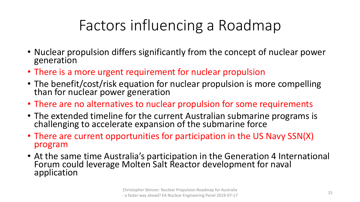# Factors influencing a Roadmap

- Nuclear propulsion differs significantly from the concept of nuclear power generation
- There is a more urgent requirement for nuclear propulsion
- The benefit/cost/risk equation for nuclear propulsion is more compelling than for nuclear power generation
- There are no alternatives to nuclear propulsion for some requirements
- The extended timeline for the current Australian submarine programs is challenging to accelerate expansion of the submarine force
- There are current opportunities for participation in the US Navy SSN(X) program
- At the same time Australia's participation in the Generation 4 International Forum could leverage Molten Salt Reactor development for naval application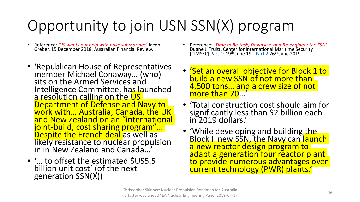# Opportunity to join USN SSN(X) program

- Reference: *'US wants our help with nuke submarines'* Jacob Greber, 15 December 2018. Australian Financial Review.
- 'Republican House of Representatives member Michael Conaway… (who) sits on the Armed Services and Intelligence Committee, has launched a resolution calling on the US Department of Defense and Navy to work with… Australia, Canada, the UK and New Zealand on an "international joint-build, cost sharing program"… Despite the French deal as well as likely resistance to nuclear propulsion in in New Zealand and Canada…'
- $\ldots$  to offset the estimated \$US5.5 billion unit cost' (of the next generation SSN(X))
- Reference: *'Time to Re-task, Downsize, and Re-engineer the SSN'.*  Duane J. Truitt. Center for International Maritime Security [CIMSEC] **Part 1: 19<sup>th</sup> June 19<sup>th</sup> [Part 2 2](http://cimsec.org/time-to-re-task-downsize-and-re-engineer-the-ssn-part-ii/40472)6<sup>th</sup> June 2019**
- 'Set an overall objective for Block 1 to build a new SSN of not more than 4,500 tons… and a crew size of not more than 70…'
- 'Total construction cost should aim for significantly less than \$2 billion each in 2019 dollars.'
- 'While developing and building the Block I new SSN, the Navy can launch a new reactor design program to adapt a generation four reactor plant to provide numerous advantages over current technology (PWR) plants.'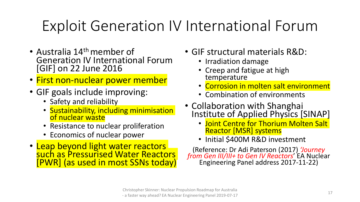# Exploit Generation IV International Forum

- Australia 14th member of Generation IV International Forum [GIF] on 22 June 2016
- First non-nuclear power member
- GIF goals include improving:
	- Safety and reliability
	- Sustainability, including minimisation of nuclear waste
	- Resistance to nuclear proliferation
	- Economics of nuclear power
- Leap beyond light water reactors such as Pressurised Water Reactors [PWR] (as used in most SSNs today)
- GIF structural materials R&D:
	- Irradiation damage
	- Creep and fatigue at high temperature
	- Corrosion in molten salt environment
	- Combination of environments
- Collaboration with Shanghai Institute of Applied Physics [SINAP]
	- Joint Centre for Thorium Molten Salt Reactor [MSR] systems
	- Initial \$400M R&D investment

(Reference: Dr Adi Paterson (2017) *'Journey from Gen III/III+ to Gen IV Reactors*' EA Nuclear Engineering Panel address 2017-11-22)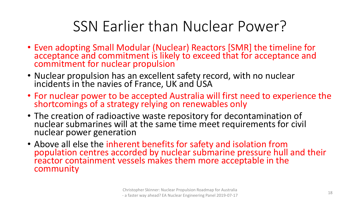# SSN Earlier than Nuclear Power?

- Even adopting Small Modular (Nuclear) Reactors [SMR] the timeline for acceptance and commitment is likely to exceed that for acceptance and commitment for nuclear propulsion
- Nuclear propulsion has an excellent safety record, with no nuclear incidents in the navies of France, UK and USA
- For nuclear power to be accepted Australia will first need to experience the shortcomings of a strategy relying on renewables only
- The creation of radioactive waste repository for decontamination of nuclear submarines will at the same time meet requirements for civil nuclear power generation
- Above all else the inherent benefits for safety and isolation from population centres accorded by nuclear submarine pressure hull and their reactor containment vessels makes them more acceptable in the community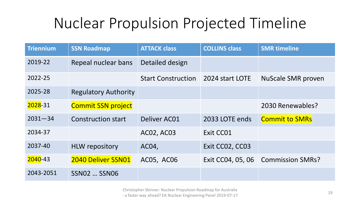# Nuclear Propulsion Projected Timeline

| <b>Triennium</b> | <b>SSN Roadmap</b>          | <b>ATTACK class</b>       | <b>COLLINS class</b> | <b>SMR timeline</b>                |
|------------------|-----------------------------|---------------------------|----------------------|------------------------------------|
| 2019-22          | Repeal nuclear bans         | Detailed design           |                      |                                    |
| 2022-25          |                             | <b>Start Construction</b> | 2024 start LOTE      | NuScale SMR proven                 |
| 2025-28          | <b>Regulatory Authority</b> |                           |                      |                                    |
| 2028-31          | <b>Commit SSN project</b>   |                           |                      | 2030 Renewables?                   |
| $2031 - 34$      | <b>Construction start</b>   | Deliver AC01              | 2033 LOTE ends       | <b>Commit to SMRs</b>              |
| 2034-37          |                             | AC02, AC03                | Exit CC01            |                                    |
| 2037-40          | <b>HLW</b> repository       | AC04,                     | Exit CC02, CC03      |                                    |
| 2040-43          | 2040 Deliver SSN01          | AC05, AC06                |                      | Exit CC04, 05, 06 Commission SMRs? |
| 2043-2051        | <b>SSN02  SSN06</b>         |                           |                      |                                    |

Christopher Skinner: Nuclear Propulsion Roadmap for Australia

- a faster way ahead? EA Nuclear Engineering Panel 2019-07-17 <sup>19</sup>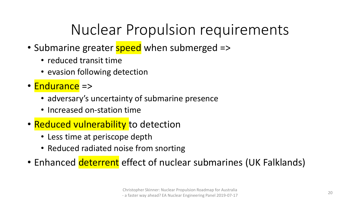### Nuclear Propulsion requirements

- Submarine greater **speed** when submerged =>
	- reduced transit time
	- evasion following detection
- **Endurance** =>
	- adversary's uncertainty of submarine presence
	- Increased on-station time
- Reduced vulnerability to detection
	- Less time at periscope depth
	- Reduced radiated noise from snorting
- Enhanced *deterrent* effect of nuclear submarines (UK Falklands)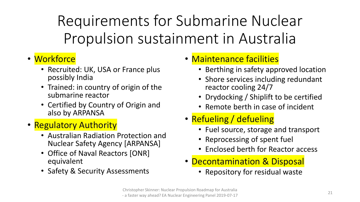Requirements for Submarine Nuclear Propulsion sustainment in Australia

#### • Workforce

- Recruited: UK, USA or France plus possibly India
- Trained: in country of origin of the submarine reactor
- Certified by Country of Origin and also by ARPANSA

#### • Regulatory Authority

- Australian Radiation Protection and Nuclear Safety Agency [ARPANSA]
- Office of Naval Reactors [ONR] equivalent
- Safety & Security Assessments

#### • Maintenance facilities

- Berthing in safety approved location
- Shore services including redundant reactor cooling 24/7
- Drydocking / Shiplift to be certified
- Remote berth in case of incident
- Refueling / defueling
	- Fuel source, storage and transport
	- Reprocessing of spent fuel
	- Enclosed berth for Reactor access
- **Decontamination & Disposal** 
	- Repository for residual waste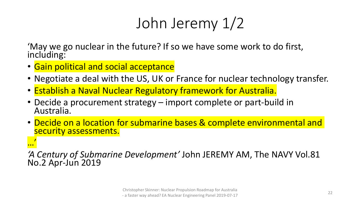# John Jeremy 1/2

'May we go nuclear in the future? If so we have some work to do first, including:

• Gain political and social acceptance

<mark>…'</mark>

- Negotiate a deal with the US, UK or France for nuclear technology transfer.
- Establish a Naval Nuclear Regulatory framework for Australia.
- Decide a procurement strategy import complete or part-build in Australia.
- Decide on a location for submarine bases & complete environmental and security assessments.

#### *'A Century of Submarine Development'* John JEREMY AM, The NAVY Vol.81 No.2 Apr-Jun 2019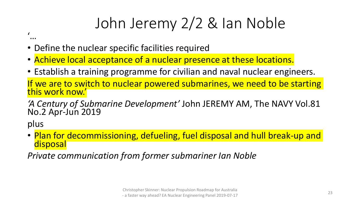# John Jeremy 2/2 & Ian Noble

- Define the nuclear specific facilities required
- Achieve local acceptance of a nuclear presence at these locations.
- Establish a training programme for civilian and naval nuclear engineers.

If we are to switch to nuclear powered submarines, we need to be starting this work now.'

*'A Century of Submarine Development'* John JEREMY AM, The NAVY Vol.81 No.2 Apr-Jun 2019

plus

 $\mathcal{L}$ 

• Plan for decommissioning, defueling, fuel disposal and hull break-up and disposal

*Private communication from former submariner Ian Noble*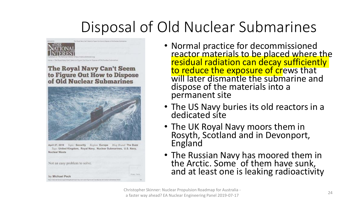# Disposal of Old Nuclear Submarines



#### **The Royal Navy Can't Seem** to Figure Out How to Dispose of Old Nuclear Submarines



April 27, 2019 Topic: Security Region: Europe Blog Brand: The Buzz Tags: United Kingdom, Royal Navy, Nuclear Submarines, U.S. Navy, Nuclear Waste

| Not an easy problem to solve.                                                                                          |                |
|------------------------------------------------------------------------------------------------------------------------|----------------|
| by Michael Peck                                                                                                        | Privacy-Torres |
| https://rationalintensat.org/print/blog/bazz/mani-navy-card-seem-figure-out-lice-discipas-ploi-actions-submannes-54222 |                |

- Normal practice for decommissioned reactor materials to be placed where the residual radiation can decay sufficiently to reduce the exposure of crews that will later dismantle the submarine and dispose of the materials into a permanent site
- The US Navy buries its old reactors in a dedicated site
- The UK Royal Navy moors them in Rosyth, Scotland and in Devonport, England
- The Russian Navy has moored them in the Arctic. Some of them have sunk, and at least one is leaking radioactivity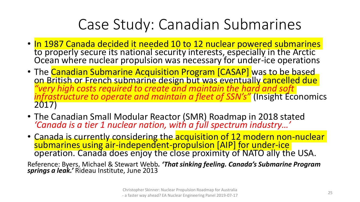### Case Study: Canadian Submarines

- In 1987 Canada decided it needed 10 to 12 nuclear powered submarines to properly secure its national security interests, especially in the Arctic Ocean where nuclear propulsion was necessary for under-ice operations
- The Canadian Submarine Acquisition Program [CASAP] was to be based on British or French submarine design but was eventually cancelled due *"very high costs required to create and maintain the hard and soft infrastructure to operate and maintain a fleet of SSN's"* (Insight Economics 2017)
- The Canadian Small Modular Reactor (SMR) Roadmap in 2018 stated *'Canada is a tier 1 nuclear nation, with a full spectrum industry…'*
- Canada is currently considering the acquisition of 12 modern non-nuclear submarines using air-independent-propulsion [AIP] for under-ice operation. Canada does enjoy the close proximity of NATO ally the USA.

Reference: Byers, Michael & Stewart Webb*. 'That sinking feeling. Canada's Submarine Program springs a leak.'* Rideau Institute, June 2013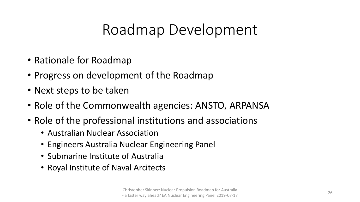### Roadmap Development

- Rationale for Roadmap
- Progress on development of the Roadmap
- Next steps to be taken
- Role of the Commonwealth agencies: ANSTO, ARPANSA
- Role of the professional institutions and associations
	- Australian Nuclear Association
	- Engineers Australia Nuclear Engineering Panel
	- Submarine Institute of Australia
	- Royal Institute of Naval Arcitects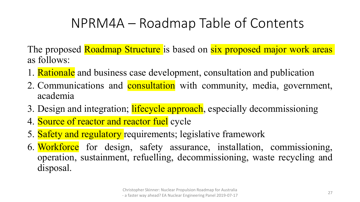### NPRM4A – Roadmap Table of Contents

The proposed Roadmap Structure is based on six proposed major work areas as follows:

- 1. Rationale and business case development, consultation and publication
- 2. Communications and **consultation** with community, media, government, academia
- 3. Design and integration; lifecycle approach, especially decommissioning
- 4. Source of reactor and reactor fuel cycle
- 5. Safety and regulatory requirements; legislative framework
- 6. Workforce for design, safety assurance, installation, commissioning, operation, sustainment, refuelling, decommissioning, waste recycling and disposal.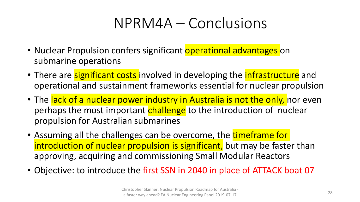### NPRM4A – Conclusions

- Nuclear Propulsion confers significant operational advantages on submarine operations
- There are significant costs involved in developing the *infrastructure* and operational and sustainment frameworks essential for nuclear propulsion
- The lack of a nuclear power industry in Australia is not the only, nor even perhaps the most important challenge to the introduction of nuclear propulsion for Australian submarines
- Assuming all the challenges can be overcome, the timeframe for introduction of nuclear propulsion is significant, but may be faster than approving, acquiring and commissioning Small Modular Reactors
- Objective: to introduce the first SSN in 2040 in place of ATTACK boat 07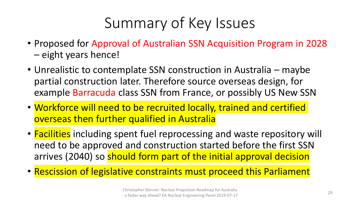# Summary of Key Issues

- Proposed for Approval of Australian SSN Acquisition Program in 2028 – eight years hence!
- Unrealistic to contemplate SSN construction in Australia maybe partial construction later. Therefore source overseas design, for example Barracuda class SSN from France, or possibly US New SSN
- Workforce will need to be recruited locally, trained and certified overseas then further qualified in Australia
- Facilities including spent fuel reprocessing and waste repository will need to be approved and construction started before the first SSN arrives (2040) so should form part of the initial approval decision
- Rescission of legislative constraints must proceed this Parliament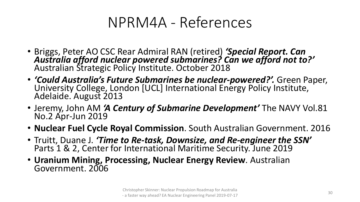### NPRM4A - References

- Briggs, Peter AO CSC Rear Admiral RAN (retired) *'Special Report. Can Australia afford nuclear powered submarines? Can we afford not to?'*  Australian Strategic Policy Institute. October 2018
- *'Could Australia's Future Submarines be nuclear-powered?'.* Green Paper, University College, London [UCL] International Energy Policy Institute, Adelaide. August 2013
- Jeremy, John AM *'A Century of Submarine Development'* The NAVY Vol.81 No.2 Apr-Jun 2019
- **Nuclear Fuel Cycle Royal Commission**. South Australian Government. 2016
- Truitt, Duane J. *'Time to Re-task, Downsize, and Re-engineer the SSN'*  Parts 1 & 2, Center for International Maritime Security. June 2019
- **Uranium Mining, Processing, Nuclear Energy Review**. Australian Government. 2006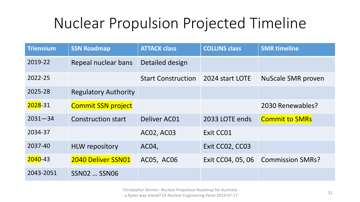# Nuclear Propulsion Projected Timeline

| <b>Triennium</b> | <b>SSN Roadmap</b>          | <b>ATTACK class</b>       | <b>COLLINS class</b> | <b>SMR timeline</b>                |
|------------------|-----------------------------|---------------------------|----------------------|------------------------------------|
| 2019-22          | Repeal nuclear bans         | Detailed design           |                      |                                    |
| 2022-25          |                             | <b>Start Construction</b> | 2024 start LOTE      | NuScale SMR proven                 |
| 2025-28          | <b>Regulatory Authority</b> |                           |                      |                                    |
| 2028-31          | <b>Commit SSN project</b>   |                           |                      | 2030 Renewables?                   |
| $2031 - 34$      | <b>Construction start</b>   | Deliver AC01              | 2033 LOTE ends       | <b>Commit to SMRs</b>              |
| 2034-37          |                             | AC02, AC03                | Exit CC01            |                                    |
| 2037-40          | <b>HLW</b> repository       | AC04,                     | Exit CC02, CC03      |                                    |
| 2040-43          | 2040 Deliver SSN01          | AC05, AC06                |                      | Exit CC04, 05, 06 Commission SMRs? |
| 2043-2051        | <b>SSN02  SSN06</b>         |                           |                      |                                    |

Christopher Skinner: Nuclear Propulsion Roadmap for Australia

- a faster way ahead? EA Nuclear Engineering Panel 2019-07-17 <sup>31</sup>